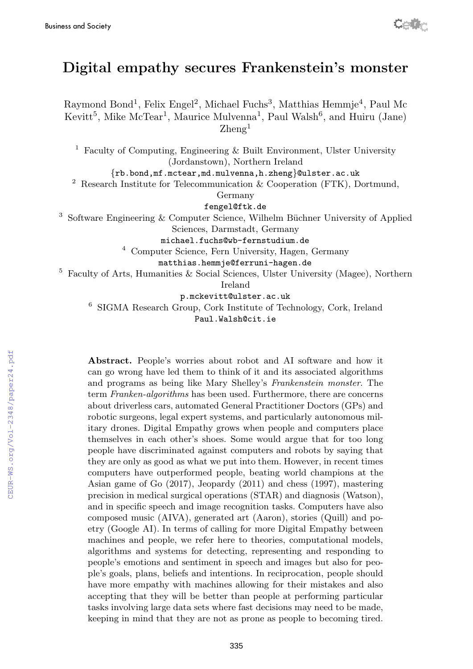# Digital empathy secures Frankenstein's monster

Cetty

Raymond Bond<sup>1</sup>, Felix Engel<sup>2</sup>, Michael Fuchs<sup>3</sup>, Matthias Hemmje<sup>4</sup>, Paul Mc Kevitt<sup>5</sup>, Mike McTear<sup>1</sup>, Maurice Mulvenna<sup>1</sup>, Paul Walsh<sup>6</sup>, and Huiru (Jane)  $\rm{Zhene}^{1}$ 

1 Faculty of Computing, Engineering & Built Environment, Ulster University (Jordanstown), Northern Ireland

{rb.bond,mf.mctear,md.mulvenna,h.zheng}@ulster.ac.uk

<sup>2</sup> Research Institute for Telecommunication  $\&$  Cooperation (FTK), Dortmund,

Germany

fengel@ftk.de

<sup>3</sup> Software Engineering & Computer Science, Wilhelm Büchner University of Applied Sciences, Darmstadt, Germany

michael.fuchs@wb-fernstudium.de

<sup>4</sup> Computer Science, Fern University, Hagen, Germany

matthias.hemmje@ferruni-hagen.de

5 Faculty of Arts, Humanities & Social Sciences, Ulster University (Magee), Northern

Ireland

p.mckevitt@ulster.ac.uk

6 SIGMA Research Group, Cork Institute of Technology, Cork, Ireland

Paul.Walsh@cit.ie

Abstract. People's worries about robot and AI software and how it can go wrong have led them to think of it and its associated algorithms and programs as being like Mary Shelley's Frankenstein monster. The term Franken-algorithms has been used. Furthermore, there are concerns about driverless cars, automated General Practitioner Doctors (GPs) and robotic surgeons, legal expert systems, and particularly autonomous military drones. Digital Empathy grows when people and computers place themselves in each other's shoes. Some would argue that for too long people have discriminated against computers and robots by saying that they are only as good as what we put into them. However, in recent times computers have outperformed people, beating world champions at the Asian game of Go (2017), Jeopardy (2011) and chess (1997), mastering precision in medical surgical operations (STAR) and diagnosis (Watson), and in specific speech and image recognition tasks. Computers have also composed music (AIVA), generated art (Aaron), stories (Quill) and poetry (Google AI). In terms of calling for more Digital Empathy between machines and people, we refer here to theories, computational models, algorithms and systems for detecting, representing and responding to people's emotions and sentiment in speech and images but also for people's goals, plans, beliefs and intentions. In reciprocation, people should have more empathy with machines allowing for their mistakes and also accepting that they will be better than people at performing particular tasks involving large data sets where fast decisions may need to be made, keeping in mind that they are not as prone as people to becoming tired.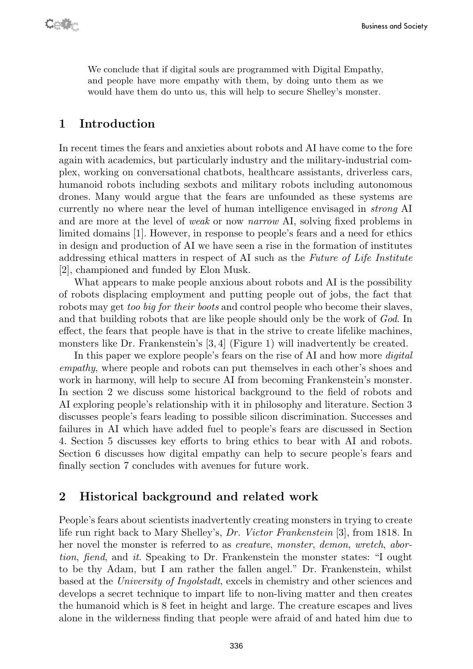We conclude that if digital souls are programmed with Digital Empathy, and people have more empathy with them, by doing unto them as we would have them do unto us, this will help to secure Shelley's monster.

### 1 Introduction

In recent times the fears and anxieties about robots and AI have come to the fore again with academics, but particularly industry and the military-industrial complex, working on conversational chatbots, healthcare assistants, driverless cars, humanoid robots including sexbots and military robots including autonomous drones. Many would argue that the fears are unfounded as these systems are currently no where near the level of human intelligence envisaged in strong AI and are more at the level of weak or now narrow AI, solving fixed problems in limited domains [1]. However, in response to people's fears and a need for ethics in design and production of AI we have seen a rise in the formation of institutes addressing ethical matters in respect of AI such as the Future of Life Institute [2], championed and funded by Elon Musk.

What appears to make people anxious about robots and AI is the possibility of robots displacing employment and putting people out of jobs, the fact that robots may get too big for their boots and control people who become their slaves, and that building robots that are like people should only be the work of God. In effect, the fears that people have is that in the strive to create lifelike machines, monsters like Dr. Frankenstein's [3, 4] (Figure 1) will inadvertently be created.

In this paper we explore people's fears on the rise of AI and how more *digital* empathy, where people and robots can put themselves in each other's shoes and work in harmony, will help to secure AI from becoming Frankenstein's monster. In section 2 we discuss some historical background to the field of robots and AI exploring people's relationship with it in philosophy and literature. Section 3 discusses people's fears leading to possible silicon discrimination. Successes and failures in AI which have added fuel to people's fears are discussed in Section 4. Section 5 discusses key efforts to bring ethics to bear with AI and robots. Section 6 discusses how digital empathy can help to secure people's fears and finally section 7 concludes with avenues for future work.

### 2 Historical background and related work

People's fears about scientists inadvertently creating monsters in trying to create life run right back to Mary Shelley's, Dr. Victor Frankenstein [3], from 1818. In her novel the monster is referred to as creature, monster, demon, wretch, abortion, fiend, and it. Speaking to Dr. Frankenstein the monster states: "I ought to be thy Adam, but I am rather the fallen angel." Dr. Frankenstein, whilst based at the University of Ingolstadt, excels in chemistry and other sciences and develops a secret technique to impart life to non-living matter and then creates the humanoid which is 8 feet in height and large. The creature escapes and lives alone in the wilderness finding that people were afraid of and hated him due to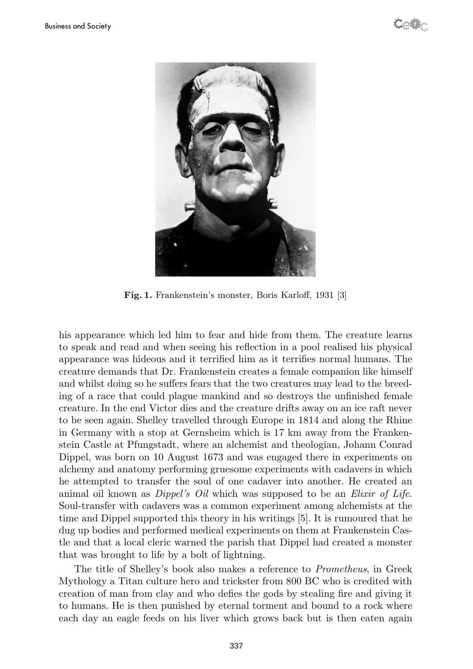

Fig. 1. Frankenstein's monster, Boris Karloff, 1931 [3]

his appearance which led him to fear and hide from them. The creature learns to speak and read and when seeing his reflection in a pool realised his physical appearance was hideous and it terrified him as it terrifies normal humans. The creature demands that Dr. Frankenstein creates a female companion like himself and whilst doing so he suffers fears that the two creatures may lead to the breeding of a race that could plague mankind and so destroys the unfinished female creature. In the end Victor dies and the creature drifts away on an ice raft never to be seen again. Shelley travelled through Europe in 1814 and along the Rhine in Germany with a stop at Gernsheim which is 17 km away from the Frankenstein Castle at Pfungstadt, where an alchemist and theologian, Johann Conrad Dippel, was born on 10 August 1673 and was engaged there in experiments on alchemy and anatomy performing gruesome experiments with cadavers in which he attempted to transfer the soul of one cadaver into another. He created an animal oil known as *Dippel's Oil* which was supposed to be an *Elixir of Life*. Soul-transfer with cadavers was a common experiment among alchemists at the time and Dippel supported this theory in his writings [5]. It is rumoured that he dug up bodies and performed medical experiments on them at Frankenstein Castle and that a local cleric warned the parish that Dippel had created a monster that was brought to life by a bolt of lightning.

The title of Shelley's book also makes a reference to Prometheus, in Greek Mythology a Titan culture hero and trickster from 800 BC who is credited with creation of man from clay and who defies the gods by stealing fire and giving it to humans. He is then punished by eternal torment and bound to a rock where each day an eagle feeds on his liver which grows back but is then eaten again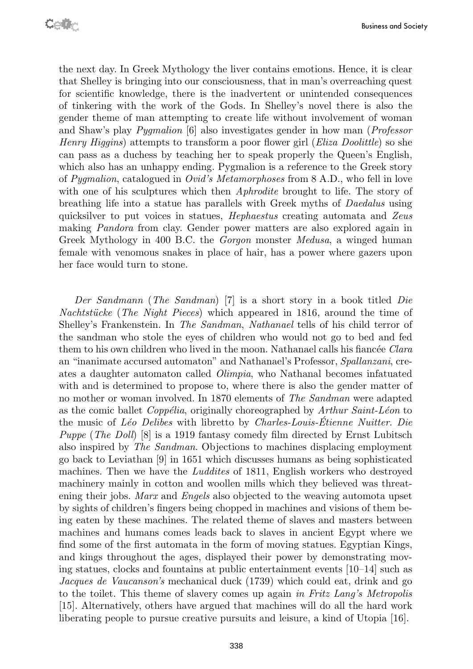the next day. In Greek Mythology the liver contains emotions. Hence, it is clear that Shelley is bringing into our consciousness, that in man's overreaching quest for scientific knowledge, there is the inadvertent or unintended consequences of tinkering with the work of the Gods. In Shelley's novel there is also the gender theme of man attempting to create life without involvement of woman and Shaw's play Pygmalion [6] also investigates gender in how man (Professor Henry Higgins) attempts to transform a poor flower girl (Eliza Doolittle) so she can pass as a duchess by teaching her to speak properly the Queen's English, which also has an unhappy ending. Pygmalion is a reference to the Greek story of Pygmalion, catalogued in Ovid's Metamorphoses from 8 A.D., who fell in love with one of his sculptures which then *Aphrodite* brought to life. The story of breathing life into a statue has parallels with Greek myths of Daedalus using quicksilver to put voices in statues, *Hephaestus* creating automata and Zeus making Pandora from clay. Gender power matters are also explored again in Greek Mythology in 400 B.C. the Gorgon monster Medusa, a winged human female with venomous snakes in place of hair, has a power where gazers upon her face would turn to stone.

Der Sandmann (The Sandman) [7] is a short story in a book titled Die Nachtstücke (The Night Pieces) which appeared in 1816, around the time of Shelley's Frankenstein. In The Sandman, Nathanael tells of his child terror of the sandman who stole the eyes of children who would not go to bed and fed them to his own children who lived in the moon. Nathanael calls his fiancée *Clara* an "inanimate accursed automaton" and Nathanael's Professor, Spallanzani, creates a daughter automaton called Olimpia, who Nathanal becomes infatuated with and is determined to propose to, where there is also the gender matter of no mother or woman involved. In 1870 elements of The Sandman were adapted as the comic ballet *Coppélia*, originally choreographed by  $Arthur Saint-Léon$  to the music of  $L\acute{e}o$  Delibes with libretto by *Charles-Louis-Étienne Nuitter. Die* Puppe (The Doll) [8] is a 1919 fantasy comedy film directed by Ernst Lubitsch also inspired by The Sandman. Objections to machines displacing employment go back to Leviathan [9] in 1651 which discusses humans as being sophisticated machines. Then we have the Luddites of 1811, English workers who destroyed machinery mainly in cotton and woollen mills which they believed was threatening their jobs. *Marx* and *Engels* also objected to the weaving automota upset by sights of children's fingers being chopped in machines and visions of them being eaten by these machines. The related theme of slaves and masters between machines and humans comes leads back to slaves in ancient Egypt where we find some of the first automata in the form of moving statues. Egyptian Kings, and kings throughout the ages, displayed their power by demonstrating moving statues, clocks and fountains at public entertainment events [10–14] such as Jacques de Vaucanson's mechanical duck (1739) which could eat, drink and go to the toilet. This theme of slavery comes up again in Fritz Lang's Metropolis [15]. Alternatively, others have argued that machines will do all the hard work liberating people to pursue creative pursuits and leisure, a kind of Utopia [16].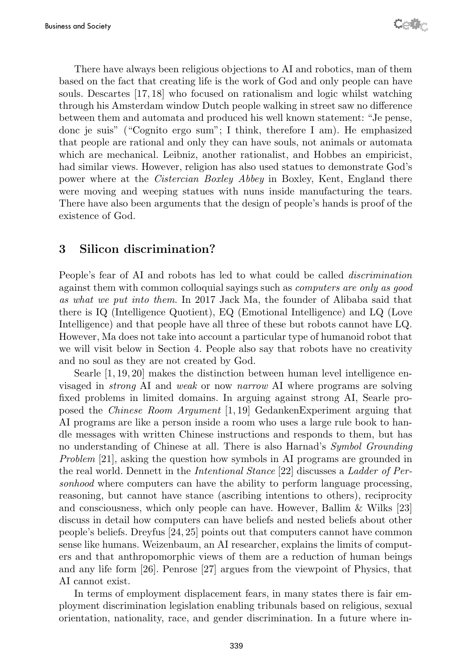There have always been religious objections to AI and robotics, man of them based on the fact that creating life is the work of God and only people can have souls. Descartes [17, 18] who focused on rationalism and logic whilst watching through his Amsterdam window Dutch people walking in street saw no difference between them and automata and produced his well known statement: "Je pense, donc je suis" ("Cognito ergo sum"; I think, therefore I am). He emphasized that people are rational and only they can have souls, not animals or automata which are mechanical. Leibniz, another rationalist, and Hobbes an empiricist, had similar views. However, religion has also used statues to demonstrate God's power where at the Cistercian Boxley Abbey in Boxley, Kent, England there were moving and weeping statues with nuns inside manufacturing the tears. There have also been arguments that the design of people's hands is proof of the existence of God.

## 3 Silicon discrimination?

People's fear of AI and robots has led to what could be called discrimination against them with common colloquial sayings such as computers are only as good as what we put into them. In 2017 Jack Ma, the founder of Alibaba said that there is IQ (Intelligence Quotient), EQ (Emotional Intelligence) and LQ (Love Intelligence) and that people have all three of these but robots cannot have LQ. However, Ma does not take into account a particular type of humanoid robot that we will visit below in Section 4. People also say that robots have no creativity and no soul as they are not created by God.

Searle [1, 19, 20] makes the distinction between human level intelligence envisaged in strong AI and weak or now narrow AI where programs are solving fixed problems in limited domains. In arguing against strong AI, Searle proposed the Chinese Room Argument [1, 19] GedankenExperiment arguing that AI programs are like a person inside a room who uses a large rule book to handle messages with written Chinese instructions and responds to them, but has no understanding of Chinese at all. There is also Harnad's Symbol Grounding Problem [21], asking the question how symbols in AI programs are grounded in the real world. Dennett in the Intentional Stance [22] discusses a Ladder of Personhood where computers can have the ability to perform language processing, reasoning, but cannot have stance (ascribing intentions to others), reciprocity and consciousness, which only people can have. However, Ballim & Wilks [23] discuss in detail how computers can have beliefs and nested beliefs about other people's beliefs. Dreyfus [24, 25] points out that computers cannot have common sense like humans. Weizenbaum, an AI researcher, explains the limits of computers and that anthropomorphic views of them are a reduction of human beings and any life form [26]. Penrose [27] argues from the viewpoint of Physics, that AI cannot exist.

In terms of employment displacement fears, in many states there is fair employment discrimination legislation enabling tribunals based on religious, sexual orientation, nationality, race, and gender discrimination. In a future where in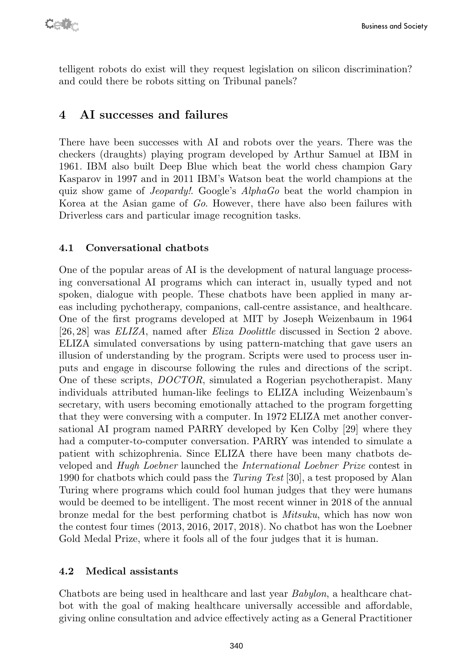telligent robots do exist will they request legislation on silicon discrimination? and could there be robots sitting on Tribunal panels?

## 4 AI successes and failures

There have been successes with AI and robots over the years. There was the checkers (draughts) playing program developed by Arthur Samuel at IBM in 1961. IBM also built Deep Blue which beat the world chess champion Gary Kasparov in 1997 and in 2011 IBM's Watson beat the world champions at the quiz show game of Jeopardy!. Google's AlphaGo beat the world champion in Korea at the Asian game of Go. However, there have also been failures with Driverless cars and particular image recognition tasks.

### 4.1 Conversational chatbots

One of the popular areas of AI is the development of natural language processing conversational AI programs which can interact in, usually typed and not spoken, dialogue with people. These chatbots have been applied in many areas including pychotherapy, companions, call-centre assistance, and healthcare. One of the first programs developed at MIT by Joseph Weizenbaum in 1964 [26, 28] was ELIZA, named after Eliza Doolittle discussed in Section 2 above. ELIZA simulated conversations by using pattern-matching that gave users an illusion of understanding by the program. Scripts were used to process user inputs and engage in discourse following the rules and directions of the script. One of these scripts, DOCTOR, simulated a Rogerian psychotherapist. Many individuals attributed human-like feelings to ELIZA including Weizenbaum's secretary, with users becoming emotionally attached to the program forgetting that they were conversing with a computer. In 1972 ELIZA met another conversational AI program named PARRY developed by Ken Colby [29] where they had a computer-to-computer conversation. PARRY was intended to simulate a patient with schizophrenia. Since ELIZA there have been many chatbots developed and Hugh Loebner launched the International Loebner Prize contest in 1990 for chatbots which could pass the Turing Test [30], a test proposed by Alan Turing where programs which could fool human judges that they were humans would be deemed to be intelligent. The most recent winner in 2018 of the annual bronze medal for the best performing chatbot is Mitsuku, which has now won the contest four times (2013, 2016, 2017, 2018). No chatbot has won the Loebner Gold Medal Prize, where it fools all of the four judges that it is human.

#### 4.2 Medical assistants

Chatbots are being used in healthcare and last year Babylon, a healthcare chatbot with the goal of making healthcare universally accessible and affordable, giving online consultation and advice effectively acting as a General Practitioner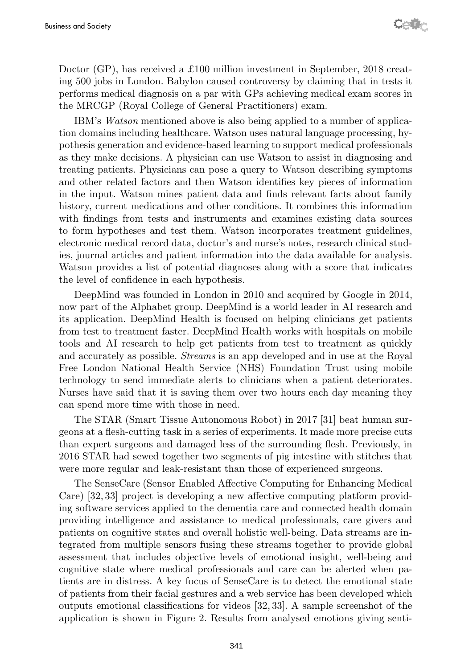Doctor (GP), has received a £100 million investment in September, 2018 creating 500 jobs in London. Babylon caused controversy by claiming that in tests it performs medical diagnosis on a par with GPs achieving medical exam scores in the MRCGP (Royal College of General Practitioners) exam.

IBM's Watson mentioned above is also being applied to a number of application domains including healthcare. Watson uses natural language processing, hypothesis generation and evidence-based learning to support medical professionals as they make decisions. A physician can use Watson to assist in diagnosing and treating patients. Physicians can pose a query to Watson describing symptoms and other related factors and then Watson identifies key pieces of information in the input. Watson mines patient data and finds relevant facts about family history, current medications and other conditions. It combines this information with findings from tests and instruments and examines existing data sources to form hypotheses and test them. Watson incorporates treatment guidelines, electronic medical record data, doctor's and nurse's notes, research clinical studies, journal articles and patient information into the data available for analysis. Watson provides a list of potential diagnoses along with a score that indicates the level of confidence in each hypothesis.

DeepMind was founded in London in 2010 and acquired by Google in 2014, now part of the Alphabet group. DeepMind is a world leader in AI research and its application. DeepMind Health is focused on helping clinicians get patients from test to treatment faster. DeepMind Health works with hospitals on mobile tools and AI research to help get patients from test to treatment as quickly and accurately as possible. Streams is an app developed and in use at the Royal Free London National Health Service (NHS) Foundation Trust using mobile technology to send immediate alerts to clinicians when a patient deteriorates. Nurses have said that it is saving them over two hours each day meaning they can spend more time with those in need.

The STAR (Smart Tissue Autonomous Robot) in 2017 [31] beat human surgeons at a flesh-cutting task in a series of experiments. It made more precise cuts than expert surgeons and damaged less of the surrounding flesh. Previously, in 2016 STAR had sewed together two segments of pig intestine with stitches that were more regular and leak-resistant than those of experienced surgeons.

The SenseCare (Sensor Enabled Affective Computing for Enhancing Medical Care) [32, 33] project is developing a new affective computing platform providing software services applied to the dementia care and connected health domain providing intelligence and assistance to medical professionals, care givers and patients on cognitive states and overall holistic well-being. Data streams are integrated from multiple sensors fusing these streams together to provide global assessment that includes objective levels of emotional insight, well-being and cognitive state where medical professionals and care can be alerted when patients are in distress. A key focus of SenseCare is to detect the emotional state of patients from their facial gestures and a web service has been developed which outputs emotional classifications for videos [32, 33]. A sample screenshot of the application is shown in Figure 2. Results from analysed emotions giving senti-

341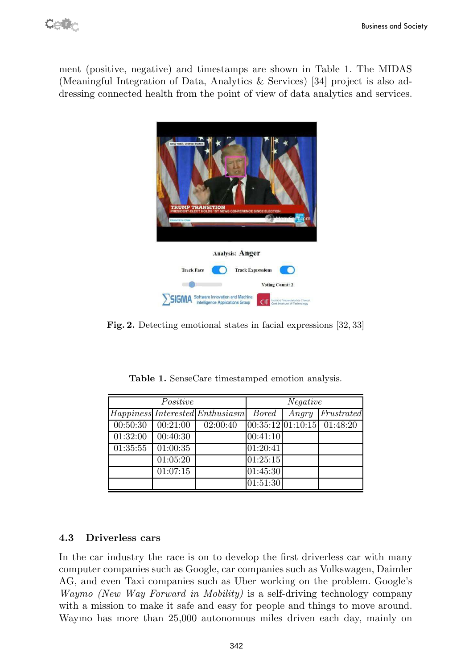Cet

ment (positive, negative) and timestamps are shown in Table 1. The MIDAS (Meaningful Integration of Data, Analytics & Services) [34] project is also addressing connected health from the point of view of data analytics and services.



Fig. 2. Detecting emotional states in facial expressions [32, 33]

| Positive |          |                                 | Negative     |       |                                |
|----------|----------|---------------------------------|--------------|-------|--------------------------------|
|          |          | Happiness Interested Enthusiasm | <b>Bored</b> | Angry | Frustrated                     |
| 00:50:30 | 00:21:00 | 02:00:40                        |              |       | $ 00:35:12 01:10:15 $ 01:48:20 |
| 01:32:00 | 00:40:30 |                                 | 00:41:10     |       |                                |
| 01:35:55 | 01:00:35 |                                 | 01:20:41     |       |                                |
|          | 01:05:20 |                                 | 01:25:15     |       |                                |
|          | 01:07:15 |                                 | 01:45:30     |       |                                |
|          |          |                                 | 01:51:30     |       |                                |

Table 1. SenseCare timestamped emotion analysis.

#### 4.3 Driverless cars

In the car industry the race is on to develop the first driverless car with many computer companies such as Google, car companies such as Volkswagen, Daimler AG, and even Taxi companies such as Uber working on the problem. Google's Waymo (New Way Forward in Mobility) is a self-driving technology company with a mission to make it safe and easy for people and things to move around. Waymo has more than 25,000 autonomous miles driven each day, mainly on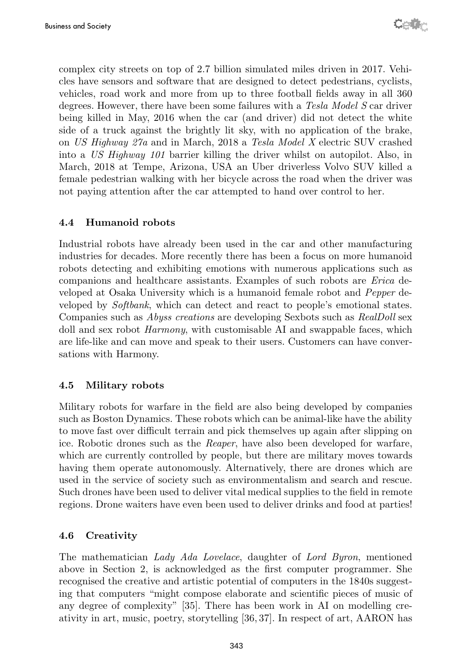complex city streets on top of 2.7 billion simulated miles driven in 2017. Vehicles have sensors and software that are designed to detect pedestrians, cyclists, vehicles, road work and more from up to three football fields away in all 360 degrees. However, there have been some failures with a Tesla Model S car driver being killed in May, 2016 when the car (and driver) did not detect the white side of a truck against the brightly lit sky, with no application of the brake, on US Highway 27a and in March, 2018 a Tesla Model X electric SUV crashed into a US Highway 101 barrier killing the driver whilst on autopilot. Also, in March, 2018 at Tempe, Arizona, USA an Uber driverless Volvo SUV killed a female pedestrian walking with her bicycle across the road when the driver was not paying attention after the car attempted to hand over control to her.

### 4.4 Humanoid robots

Industrial robots have already been used in the car and other manufacturing industries for decades. More recently there has been a focus on more humanoid robots detecting and exhibiting emotions with numerous applications such as companions and healthcare assistants. Examples of such robots are Erica developed at Osaka University which is a humanoid female robot and Pepper developed by Softbank, which can detect and react to people's emotional states. Companies such as Abyss creations are developing Sexbots such as RealDoll sex doll and sex robot *Harmony*, with customisable AI and swappable faces, which are life-like and can move and speak to their users. Customers can have conversations with Harmony.

#### 4.5 Military robots

Military robots for warfare in the field are also being developed by companies such as Boston Dynamics. These robots which can be animal-like have the ability to move fast over difficult terrain and pick themselves up again after slipping on ice. Robotic drones such as the Reaper, have also been developed for warfare, which are currently controlled by people, but there are military moves towards having them operate autonomously. Alternatively, there are drones which are used in the service of society such as environmentalism and search and rescue. Such drones have been used to deliver vital medical supplies to the field in remote regions. Drone waiters have even been used to deliver drinks and food at parties!

### 4.6 Creativity

The mathematician Lady Ada Lovelace, daughter of Lord Byron, mentioned above in Section 2, is acknowledged as the first computer programmer. She recognised the creative and artistic potential of computers in the 1840s suggesting that computers "might compose elaborate and scientific pieces of music of any degree of complexity" [35]. There has been work in AI on modelling creativity in art, music, poetry, storytelling [36, 37]. In respect of art, AARON has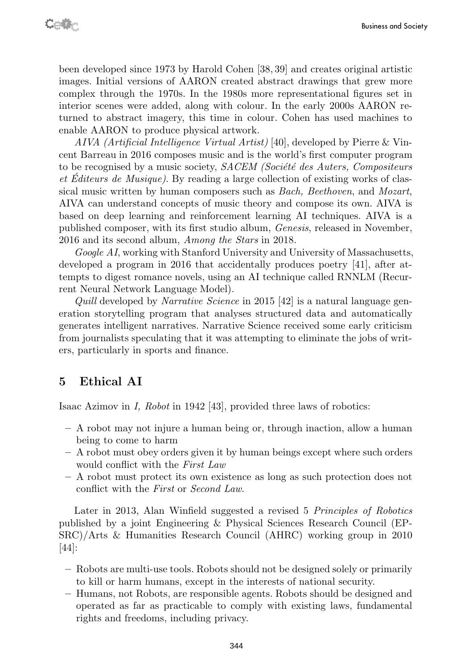been developed since 1973 by Harold Cohen [38, 39] and creates original artistic images. Initial versions of AARON created abstract drawings that grew more complex through the 1970s. In the 1980s more representational figures set in interior scenes were added, along with colour. In the early 2000s AARON returned to abstract imagery, this time in colour. Cohen has used machines to enable AARON to produce physical artwork.

AIVA (Artificial Intelligence Virtual Artist) [40], developed by Pierre & Vincent Barreau in 2016 composes music and is the world's first computer program to be recognised by a music society,  $SACEM$  (Société des Auters, Compositeurs et Éditeurs de Musique). By reading a large collection of existing works of classical music written by human composers such as Bach, Beethoven, and Mozart, AIVA can understand concepts of music theory and compose its own. AIVA is based on deep learning and reinforcement learning AI techniques. AIVA is a published composer, with its first studio album, Genesis, released in November, 2016 and its second album, Among the Stars in 2018.

Google AI, working with Stanford University and University of Massachusetts, developed a program in 2016 that accidentally produces poetry [41], after attempts to digest romance novels, using an AI technique called RNNLM (Recurrent Neural Network Language Model).

Quill developed by Narrative Science in 2015 [42] is a natural language generation storytelling program that analyses structured data and automatically generates intelligent narratives. Narrative Science received some early criticism from journalists speculating that it was attempting to eliminate the jobs of writers, particularly in sports and finance.

## 5 Ethical AI

Isaac Azimov in I, Robot in 1942 [43], provided three laws of robotics:

- A robot may not injure a human being or, through inaction, allow a human being to come to harm
- A robot must obey orders given it by human beings except where such orders would conflict with the First Law
- A robot must protect its own existence as long as such protection does not conflict with the First or Second Law.

Later in 2013, Alan Winfield suggested a revised 5 Principles of Robotics published by a joint Engineering & Physical Sciences Research Council (EP-SRC)/Arts & Humanities Research Council (AHRC) working group in 2010 [44]:

- Robots are multi-use tools. Robots should not be designed solely or primarily to kill or harm humans, except in the interests of national security.
- Humans, not Robots, are responsible agents. Robots should be designed and operated as far as practicable to comply with existing laws, fundamental rights and freedoms, including privacy.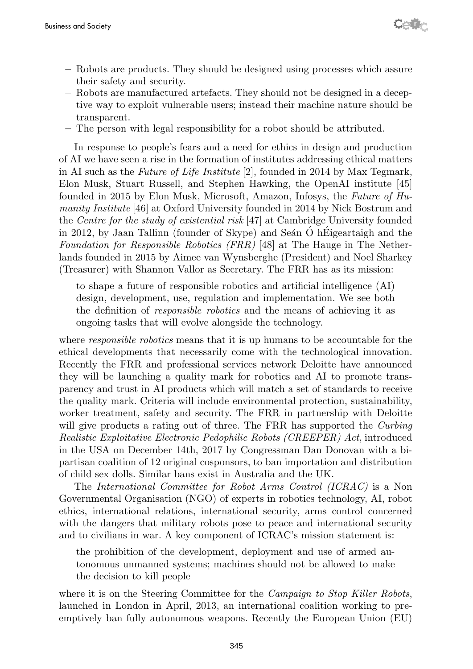- Robots are products. They should be designed using processes which assure their safety and security.
- Robots are manufactured artefacts. They should not be designed in a deceptive way to exploit vulnerable users; instead their machine nature should be transparent.
- The person with legal responsibility for a robot should be attributed.

In response to people's fears and a need for ethics in design and production of AI we have seen a rise in the formation of institutes addressing ethical matters in AI such as the Future of Life Institute [2], founded in 2014 by Max Tegmark, Elon Musk, Stuart Russell, and Stephen Hawking, the OpenAI institute [45] founded in 2015 by Elon Musk, Microsoft, Amazon, Infosys, the Future of Humanity Institute [46] at Oxford University founded in 2014 by Nick Bostrum and the Centre for the study of existential risk [47] at Cambridge University founded in 2012, by Jaan Tallinn (founder of Skype) and Seán  $\ddot{\text{O}}$  h Eigeartaigh and the Foundation for Responsible Robotics (FRR) [48] at The Hauge in The Netherlands founded in 2015 by Aimee van Wynsberghe (President) and Noel Sharkey (Treasurer) with Shannon Vallor as Secretary. The FRR has as its mission:

to shape a future of responsible robotics and artificial intelligence (AI) design, development, use, regulation and implementation. We see both the definition of responsible robotics and the means of achieving it as ongoing tasks that will evolve alongside the technology.

where *responsible robotics* means that it is up humans to be accountable for the ethical developments that necessarily come with the technological innovation. Recently the FRR and professional services network Deloitte have announced they will be launching a quality mark for robotics and AI to promote transparency and trust in AI products which will match a set of standards to receive the quality mark. Criteria will include environmental protection, sustainability, worker treatment, safety and security. The FRR in partnership with Deloitte will give products a rating out of three. The FRR has supported the Curbing Realistic Exploitative Electronic Pedophilic Robots (CREEPER) Act, introduced in the USA on December 14th, 2017 by Congressman Dan Donovan with a bipartisan coalition of 12 original cosponsors, to ban importation and distribution of child sex dolls. Similar bans exist in Australia and the UK.

The International Committee for Robot Arms Control (ICRAC) is a Non Governmental Organisation (NGO) of experts in robotics technology, AI, robot ethics, international relations, international security, arms control concerned with the dangers that military robots pose to peace and international security and to civilians in war. A key component of ICRAC's mission statement is:

the prohibition of the development, deployment and use of armed autonomous unmanned systems; machines should not be allowed to make the decision to kill people

where it is on the Steering Committee for the *Campaign to Stop Killer Robots*, launched in London in April, 2013, an international coalition working to preemptively ban fully autonomous weapons. Recently the European Union (EU)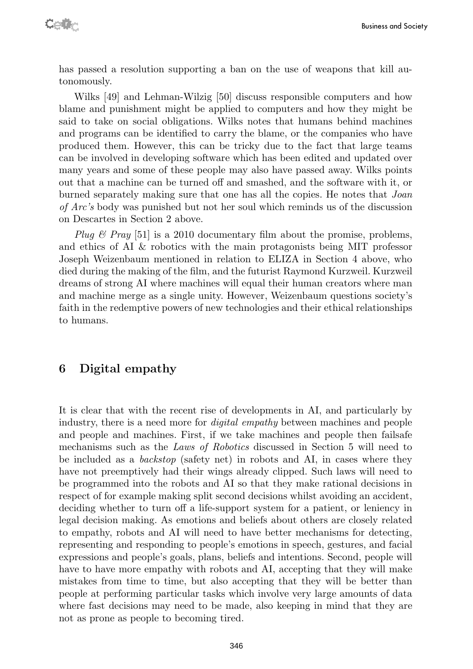has passed a resolution supporting a ban on the use of weapons that kill autonomously.

Wilks [49] and Lehman-Wilzig [50] discuss responsible computers and how blame and punishment might be applied to computers and how they might be said to take on social obligations. Wilks notes that humans behind machines and programs can be identified to carry the blame, or the companies who have produced them. However, this can be tricky due to the fact that large teams can be involved in developing software which has been edited and updated over many years and some of these people may also have passed away. Wilks points out that a machine can be turned off and smashed, and the software with it, or burned separately making sure that one has all the copies. He notes that Joan of Arc's body was punished but not her soul which reminds us of the discussion on Descartes in Section 2 above.

Plug & Pray [51] is a 2010 documentary film about the promise, problems, and ethics of AI & robotics with the main protagonists being MIT professor Joseph Weizenbaum mentioned in relation to ELIZA in Section 4 above, who died during the making of the film, and the futurist Raymond Kurzweil. Kurzweil dreams of strong AI where machines will equal their human creators where man and machine merge as a single unity. However, Weizenbaum questions society's faith in the redemptive powers of new technologies and their ethical relationships to humans.

### 6 Digital empathy

It is clear that with the recent rise of developments in AI, and particularly by industry, there is a need more for digital empathy between machines and people and people and machines. First, if we take machines and people then failsafe mechanisms such as the Laws of Robotics discussed in Section 5 will need to be included as a backstop (safety net) in robots and AI, in cases where they have not preemptively had their wings already clipped. Such laws will need to be programmed into the robots and AI so that they make rational decisions in respect of for example making split second decisions whilst avoiding an accident, deciding whether to turn off a life-support system for a patient, or leniency in legal decision making. As emotions and beliefs about others are closely related to empathy, robots and AI will need to have better mechanisms for detecting, representing and responding to people's emotions in speech, gestures, and facial expressions and people's goals, plans, beliefs and intentions. Second, people will have to have more empathy with robots and AI, accepting that they will make mistakes from time to time, but also accepting that they will be better than people at performing particular tasks which involve very large amounts of data where fast decisions may need to be made, also keeping in mind that they are not as prone as people to becoming tired.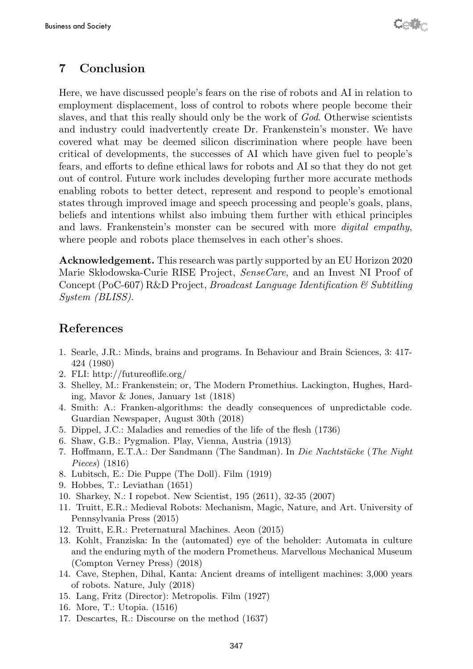# 7 Conclusion

Here, we have discussed people's fears on the rise of robots and AI in relation to employment displacement, loss of control to robots where people become their slaves, and that this really should only be the work of God. Otherwise scientists and industry could inadvertently create Dr. Frankenstein's monster. We have covered what may be deemed silicon discrimination where people have been critical of developments, the successes of AI which have given fuel to people's fears, and efforts to define ethical laws for robots and AI so that they do not get out of control. Future work includes developing further more accurate methods enabling robots to better detect, represent and respond to people's emotional states through improved image and speech processing and people's goals, plans, beliefs and intentions whilst also imbuing them further with ethical principles and laws. Frankenstein's monster can be secured with more digital empathy, where people and robots place themselves in each other's shoes.

Acknowledgement. This research was partly supported by an EU Horizon 2020 Marie Skłodowska-Curie RISE Project, SenseCare, and an Invest NI Proof of Concept (PoC-607) R&D Project, Broadcast Language Identification & Subtitling System (BLISS).

# References

- 1. Searle, J.R.: Minds, brains and programs. In Behaviour and Brain Sciences, 3: 417- 424 (1980)
- 2. FLI: http://futureoflife.org/
- 3. Shelley, M.: Frankenstein; or, The Modern Promethius. Lackington, Hughes, Harding, Mavor & Jones, January 1st (1818)
- 4. Smith: A.: Franken-algorithms: the deadly consequences of unpredictable code. Guardian Newspaper, August 30th (2018)
- 5. Dippel, J.C.: Maladies and remedies of the life of the flesh (1736)
- 6. Shaw, G.B.: Pygmalion. Play, Vienna, Austria (1913)
- 7. Hoffmann, E.T.A.: Der Sandmann (The Sandman). In Die Nachtstücke (The Night Pieces) (1816)
- 8. Lubitsch, E.: Die Puppe (The Doll). Film (1919)
- 9. Hobbes, T.: Leviathan (1651)
- 10. Sharkey, N.: I ropebot. New Scientist, 195 (2611), 32-35 (2007)
- 11. Truitt, E.R.: Medieval Robots: Mechanism, Magic, Nature, and Art. University of Pennsylvania Press (2015)
- 12. Truitt, E.R.: Preternatural Machines. Aeon (2015)
- 13. Kohlt, Franziska: In the (automated) eye of the beholder: Automata in culture and the enduring myth of the modern Prometheus. Marvellous Mechanical Museum (Compton Verney Press) (2018)
- 14. Cave, Stephen, Dihal, Kanta: Ancient dreams of intelligent machines: 3,000 years of robots. Nature, July (2018)
- 15. Lang, Fritz (Director): Metropolis. Film (1927)
- 16. More, T.: Utopia. (1516)
- 17. Descartes, R.: Discourse on the method (1637)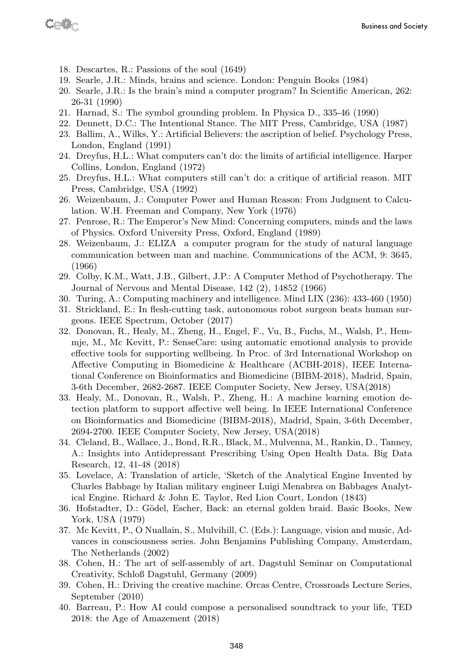Cette

- 18. Descartes, R.: Passions of the soul (1649)
- 19. Searle, J.R.: Minds, brains and science. London: Penguin Books (1984)
- 20. Searle, J.R.: Is the brain's mind a computer program? In Scientific American, 262: 26-31 (1990)
- 21. Harnad, S.: The symbol grounding problem. In Physica D., 335-46 (1990)
- 22. Dennett, D.C.: The Intentional Stance. The MIT Press, Cambridge, USA (1987)
- 23. Ballim, A., Wilks, Y.: Artificial Believers: the ascription of belief. Psychology Press, London, England (1991)
- 24. Dreyfus, H.L.: What computers can't do: the limits of artificial intelligence. Harper Collins, London, England (1972)
- 25. Dreyfus, H.L.: What computers still can't do: a critique of artificial reason. MIT Press, Cambridge, USA (1992)
- 26. Weizenbaum, J.: Computer Power and Human Reason: From Judgment to Calculation. W.H. Freeman and Company, New York (1976)
- 27. Penrose, R.: The Emperor's New Mind: Concerning computers, minds and the laws of Physics. Oxford University Press, Oxford, England (1989)
- 28. Weizenbaum, J.: ELIZA a computer program for the study of natural language communication between man and machine. Communications of the ACM, 9: 3645, (1966)
- 29. Colby, K.M., Watt, J.B., Gilbert, J.P.: A Computer Method of Psychotherapy. The Journal of Nervous and Mental Disease, 142 (2), 14852 (1966)
- 30. Turing, A.: Computing machinery and intelligence. Mind LIX (236): 433-460 (1950)
- 31. Strickland, E.: In flesh-cutting task, autonomous robot surgeon beats human surgeons. IEEE Spectrum, October (2017)
- 32. Donovan, R., Healy, M., Zheng, H., Engel, F., Vu, B., Fuchs, M., Walsh, P., Hemmje, M., Mc Kevitt, P.: SenseCare: using automatic emotional analysis to provide effective tools for supporting wellbeing. In Proc. of 3rd International Workshop on Affective Computing in Biomedicine & Healthcare (ACBH-2018), IEEE International Conference on Bioinformatics and Biomedicine (BIBM-2018), Madrid, Spain, 3-6th December, 2682-2687. IEEE Computer Society, New Jersey, USA(2018)
- 33. Healy, M., Donovan, R., Walsh, P., Zheng, H.: A machine learning emotion detection platform to support affective well being. In IEEE International Conference on Bioinformatics and Biomedicine (BIBM-2018), Madrid, Spain, 3-6th December, 2694-2700. IEEE Computer Society, New Jersey, USA(2018)
- 34. Cleland, B., Wallace, J., Bond, R.R., Black, M., Mulvenna, M., Rankin, D., Tanney, A.: Insights into Antidepressant Prescribing Using Open Health Data. Big Data Research, 12, 41-48 (2018)
- 35. Lovelace, A: Translation of article, 'Sketch of the Analytical Engine Invented by Charles Babbage by Italian military engineer Luigi Menabrea on Babbages Analytical Engine. Richard & John E. Taylor, Red Lion Court, London (1843)
- 36. Hofstadter, D.: G¨odel, Escher, Back: an eternal golden braid. Basic Books, New York, USA (1979)
- 37. Mc Kevitt, P., O Nuallain, S., Mulvihill, C. (Eds.): Language, vision and music, Advances in consciousness series. John Benjamins Publishing Company, Amsterdam, The Netherlands (2002)
- 38. Cohen, H.: The art of self-assembly of art. Dagstuhl Seminar on Computational Creativity, Schloß Dagstuhl, Germany (2009)
- 39. Cohen, H.: Driving the creative machine. Orcas Centre, Crossroads Lecture Series, September (2010)
- 40. Barreau, P.: How AI could compose a personalised soundtrack to your life, TED 2018: the Age of Amazement (2018)